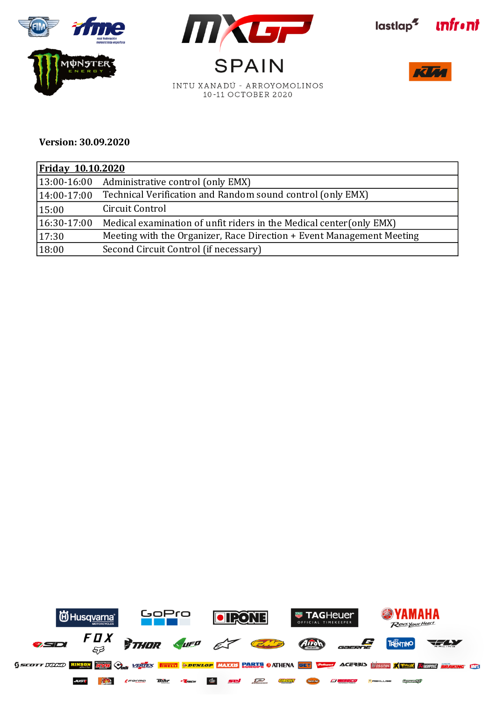









## **Version: 30.09.2020**

| <b>Friday 10.10.2020</b> |                                                                       |  |  |  |
|--------------------------|-----------------------------------------------------------------------|--|--|--|
| $ 13:00-16:00 $          | Administrative control (only EMX)                                     |  |  |  |
| $14:00-17:00$            | Technical Verification and Random sound control (only EMX)            |  |  |  |
| 15:00                    | Circuit Control                                                       |  |  |  |
| $16:30-17:00$            | Medical examination of unfit riders in the Medical center (only EMX)  |  |  |  |
| 17:30                    | Meeting with the Organizer, Race Direction + Event Management Meeting |  |  |  |
| 18:00                    | Second Circuit Control (if necessary)                                 |  |  |  |

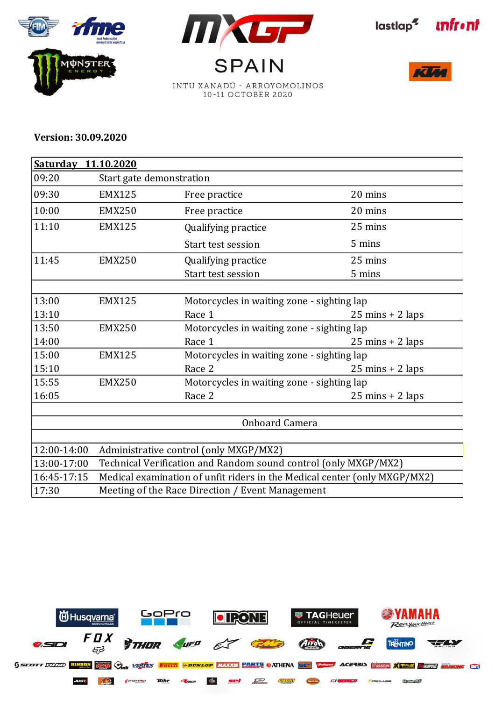







**RTE** 

## **Version: 30.09.2020**

|             | Saturday 11.10.2020 |                                                                           |                                            |  |  |  |
|-------------|---------------------|---------------------------------------------------------------------------|--------------------------------------------|--|--|--|
| 09:20       |                     | Start gate demonstration                                                  |                                            |  |  |  |
| 09:30       | <b>EMX125</b>       | Free practice                                                             | 20 mins                                    |  |  |  |
| 10:00       | <b>EMX250</b>       | Free practice                                                             | 20 mins                                    |  |  |  |
| 11:10       | <b>EMX125</b>       | Qualifying practice                                                       | 25 mins                                    |  |  |  |
|             |                     | Start test session                                                        | 5 mins                                     |  |  |  |
| 11:45       | <b>EMX250</b>       | Qualifying practice                                                       | 25 mins                                    |  |  |  |
|             |                     | Start test session                                                        | 5 mins                                     |  |  |  |
|             |                     |                                                                           |                                            |  |  |  |
| 13:00       | <b>EMX125</b>       |                                                                           | Motorcycles in waiting zone - sighting lap |  |  |  |
| 13:10       |                     | Race 1                                                                    | $25 \text{ mins} + 2 \text{ laps}$         |  |  |  |
| 13:50       | <b>EMX250</b>       | Motorcycles in waiting zone - sighting lap                                |                                            |  |  |  |
| 14:00       |                     | Race 1                                                                    | $25 \text{ mins} + 2 \text{ laps}$         |  |  |  |
| 15:00       | <b>EMX125</b>       | Motorcycles in waiting zone - sighting lap                                |                                            |  |  |  |
| 15:10       |                     | Race 2                                                                    | $25 \text{ mins} + 2 \text{ laps}$         |  |  |  |
| 15:55       | <b>EMX250</b>       | Motorcycles in waiting zone - sighting lap                                |                                            |  |  |  |
| 16:05       |                     | Race 2                                                                    | $25 \text{ mins} + 2 \text{ laps}$         |  |  |  |
|             |                     |                                                                           |                                            |  |  |  |
|             |                     | Onboard Camera                                                            |                                            |  |  |  |
|             |                     |                                                                           |                                            |  |  |  |
| 12:00-14:00 |                     | Administrative control (only MXGP/MX2)                                    |                                            |  |  |  |
| 13:00-17:00 |                     | Technical Verification and Random sound control (only MXGP/MX2)           |                                            |  |  |  |
| 16:45-17:15 |                     | Medical examination of unfit riders in the Medical center (only MXGP/MX2) |                                            |  |  |  |
| 17:30       |                     | Meeting of the Race Direction / Event Management                          |                                            |  |  |  |